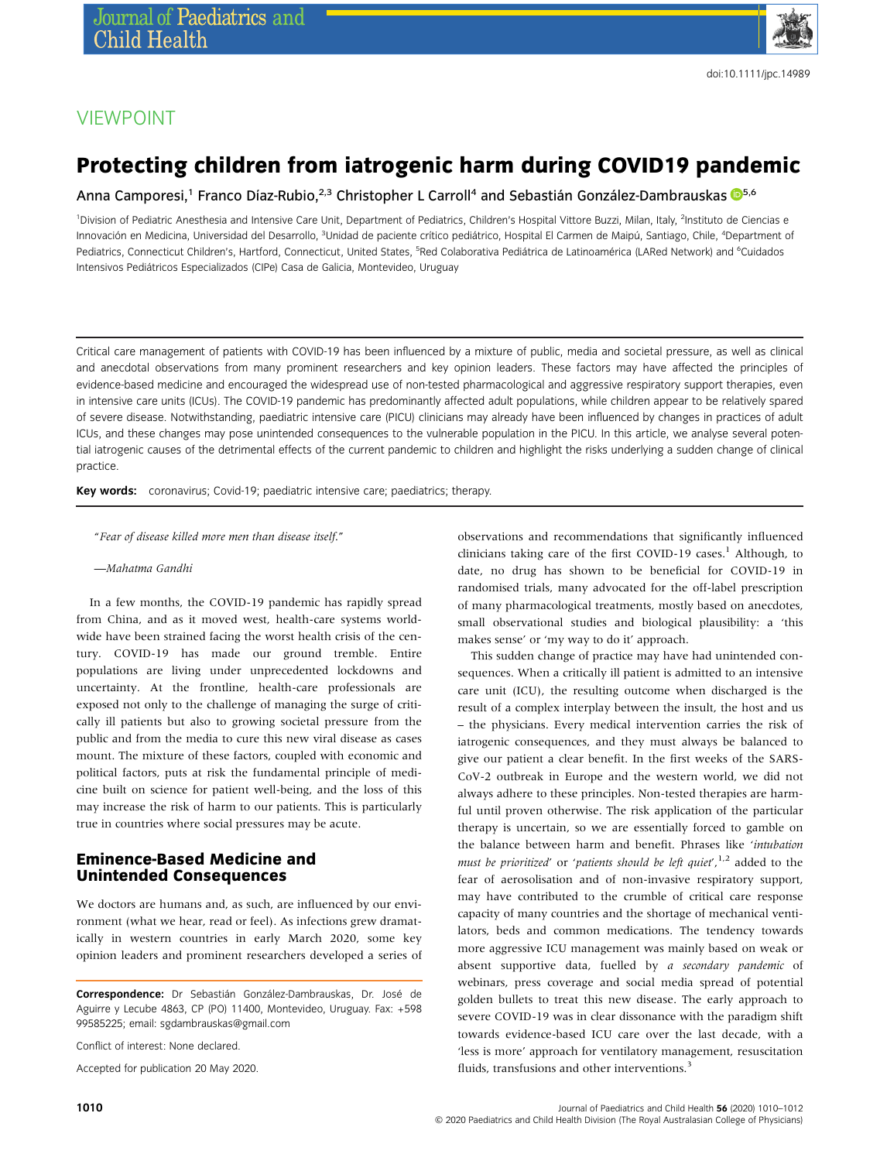

## VIEWPOINT

# Protecting children from iatrogenic harm during COVID19 pandemic

Anna Camporesi,<sup>1</sup> Franco Díaz-Rubio,<sup>2,3</sup> Christopher L Carroll<sup>4</sup> and Sebastián González-Dambrauskas <sup>1[5](https://orcid.org/0000-0003-4775-227X),6</sup>

<sup>1</sup>Division of Pediatric Anesthesia and Intensive Care Unit, Department of Pediatrics, Children's Hospital Vittore Buzzi, Milan, Italy, <sup>2</sup>Instituto de Ciencias e Innovación en Medicina, Universidad del Desarrollo, <sup>3</sup>Unidad de paciente crítico pediátrico, Hospital El Carmen de Maipú, Santiago, Chile, <sup>4</sup>Department of Pediatrics, Connecticut Children's, Hartford, Connecticut, United States, <sup>s</sup>Red Colaborativa Pediátrica de Latinoamérica (LARed Network) and <sup>6</sup>Cuidados Intensivos Pediátricos Especializados (CIPe) Casa de Galicia, Montevideo, Uruguay

Critical care management of patients with COVID-19 has been influenced by a mixture of public, media and societal pressure, as well as clinical and anecdotal observations from many prominent researchers and key opinion leaders. These factors may have affected the principles of evidence-based medicine and encouraged the widespread use of non-tested pharmacological and aggressive respiratory support therapies, even in intensive care units (ICUs). The COVID-19 pandemic has predominantly affected adult populations, while children appear to be relatively spared of severe disease. Notwithstanding, paediatric intensive care (PICU) clinicians may already have been influenced by changes in practices of adult ICUs, and these changes may pose unintended consequences to the vulnerable population in the PICU. In this article, we analyse several potential iatrogenic causes of the detrimental effects of the current pandemic to children and highlight the risks underlying a sudden change of clinical practice.

Key words: coronavirus; Covid-19; paediatric intensive care; paediatrics; therapy.

"Fear of disease killed more men than disease itself."

—Mahatma Gandhi

In a few months, the COVID-19 pandemic has rapidly spread from China, and as it moved west, health-care systems worldwide have been strained facing the worst health crisis of the century. COVID-19 has made our ground tremble. Entire populations are living under unprecedented lockdowns and uncertainty. At the frontline, health-care professionals are exposed not only to the challenge of managing the surge of critically ill patients but also to growing societal pressure from the public and from the media to cure this new viral disease as cases mount. The mixture of these factors, coupled with economic and political factors, puts at risk the fundamental principle of medicine built on science for patient well-being, and the loss of this may increase the risk of harm to our patients. This is particularly true in countries where social pressures may be acute.

#### Eminence-Based Medicine and Unintended Consequences

We doctors are humans and, as such, are influenced by our environment (what we hear, read or feel). As infections grew dramatically in western countries in early March 2020, some key opinion leaders and prominent researchers developed a series of

Conflict of interest: None declared.

Accepted for publication 20 May 2020.

observations and recommendations that significantly influenced clinicians taking care of the first COVID-19 cases.<sup>1</sup> Although, to date, no drug has shown to be beneficial for COVID-19 in randomised trials, many advocated for the off-label prescription of many pharmacological treatments, mostly based on anecdotes, small observational studies and biological plausibility: a 'this makes sense' or 'my way to do it' approach.

This sudden change of practice may have had unintended consequences. When a critically ill patient is admitted to an intensive care unit (ICU), the resulting outcome when discharged is the result of a complex interplay between the insult, the host and us – the physicians. Every medical intervention carries the risk of iatrogenic consequences, and they must always be balanced to give our patient a clear benefit. In the first weeks of the SARS-CoV-2 outbreak in Europe and the western world, we did not always adhere to these principles. Non-tested therapies are harmful until proven otherwise. The risk application of the particular therapy is uncertain, so we are essentially forced to gamble on the balance between harm and benefit. Phrases like 'intubation must be prioritized' or 'patients should be left quiet',  $1/2$  added to the fear of aerosolisation and of non-invasive respiratory support, may have contributed to the crumble of critical care response capacity of many countries and the shortage of mechanical ventilators, beds and common medications. The tendency towards more aggressive ICU management was mainly based on weak or absent supportive data, fuelled by a secondary pandemic of webinars, press coverage and social media spread of potential golden bullets to treat this new disease. The early approach to severe COVID-19 was in clear dissonance with the paradigm shift towards evidence-based ICU care over the last decade, with a 'less is more' approach for ventilatory management, resuscitation fluids, transfusions and other interventions.<sup>3</sup>

Correspondence: Dr Sebastián González-Dambrauskas, Dr. José de Aguirre y Lecube 4863, CP (PO) 11400, Montevideo, Uruguay. Fax: +598 99585225; email: [sgdambrauskas@gmail.com](mailto:sgdambrauskas@gmail.com)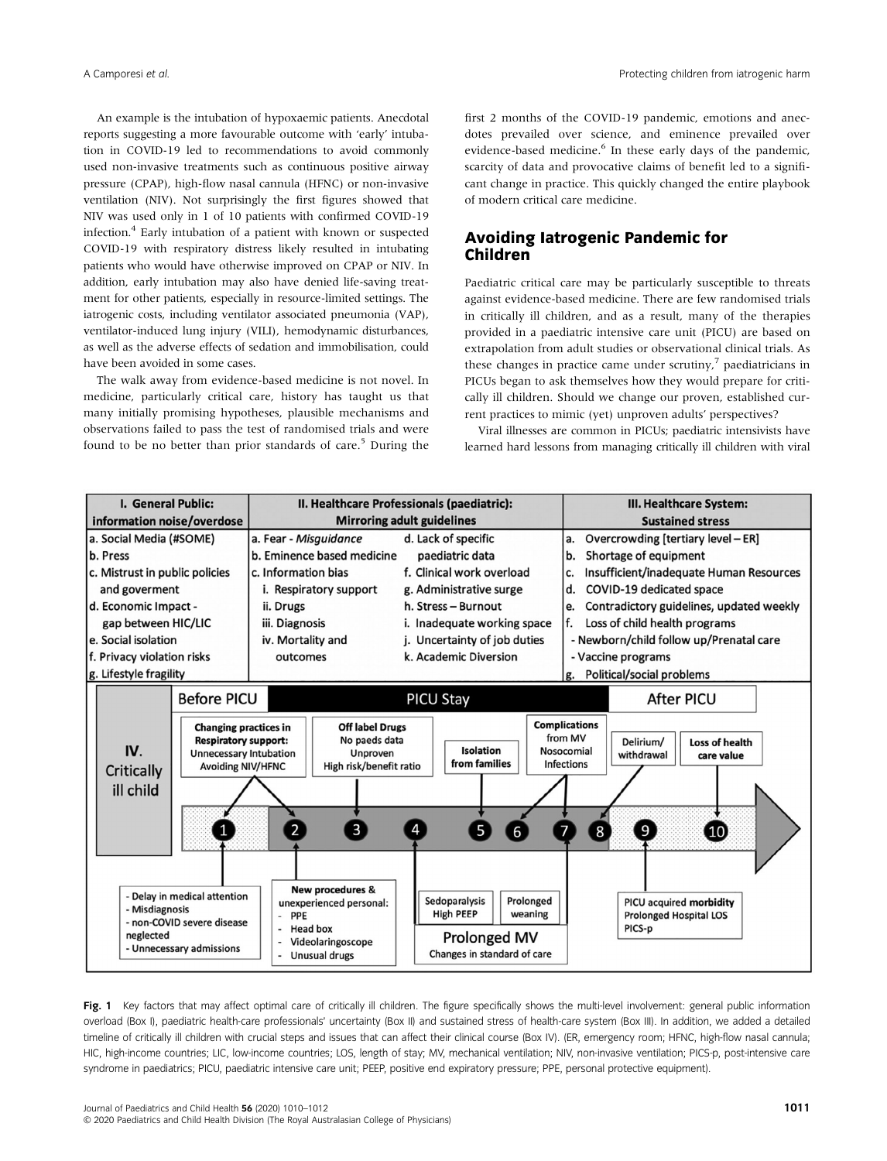An example is the intubation of hypoxaemic patients. Anecdotal reports suggesting a more favourable outcome with 'early' intubation in COVID-19 led to recommendations to avoid commonly used non-invasive treatments such as continuous positive airway pressure (CPAP), high-flow nasal cannula (HFNC) or non-invasive ventilation (NIV). Not surprisingly the first figures showed that NIV was used only in 1 of 10 patients with confirmed COVID-19 infection.4 Early intubation of a patient with known or suspected COVID-19 with respiratory distress likely resulted in intubating patients who would have otherwise improved on CPAP or NIV. In addition, early intubation may also have denied life-saving treatment for other patients, especially in resource-limited settings. The iatrogenic costs, including ventilator associated pneumonia (VAP), ventilator-induced lung injury (VILI), hemodynamic disturbances, as well as the adverse effects of sedation and immobilisation, could have been avoided in some cases.

The walk away from evidence-based medicine is not novel. In medicine, particularly critical care, history has taught us that many initially promising hypotheses, plausible mechanisms and observations failed to pass the test of randomised trials and were found to be no better than prior standards of care.<sup>5</sup> During the first 2 months of the COVID-19 pandemic, emotions and anecdotes prevailed over science, and eminence prevailed over evidence-based medicine.<sup>6</sup> In these early days of the pandemic, scarcity of data and provocative claims of benefit led to a significant change in practice. This quickly changed the entire playbook of modern critical care medicine.

#### Avoiding Iatrogenic Pandemic for Children

Paediatric critical care may be particularly susceptible to threats against evidence-based medicine. There are few randomised trials in critically ill children, and as a result, many of the therapies provided in a paediatric intensive care unit (PICU) are based on extrapolation from adult studies or observational clinical trials. As these changes in practice came under scrutiny, $\frac{7}{7}$  paediatricians in PICUs began to ask themselves how they would prepare for critically ill children. Should we change our proven, established current practices to mimic (yet) unproven adults' perspectives?

Viral illnesses are common in PICUs; paediatric intensivists have learned hard lessons from managing critically ill children with viral



Fig. 1 Key factors that may affect optimal care of critically ill children. The figure specifically shows the multi-level involvement: general public information overload (Box I), paediatric health-care professionals' uncertainty (Box II) and sustained stress of health-care system (Box III). In addition, we added a detailed timeline of critically ill children with crucial steps and issues that can affect their clinical course (Box IV). (ER, emergency room; HFNC, high-flow nasal cannula; HIC, high-income countries; LIC, low-income countries; LOS, length of stay; MV, mechanical ventilation; NIV, non-invasive ventilation; PICS-p, post-intensive care syndrome in paediatrics; PICU, paediatric intensive care unit; PEEP, positive end expiratory pressure; PPE, personal protective equipment).